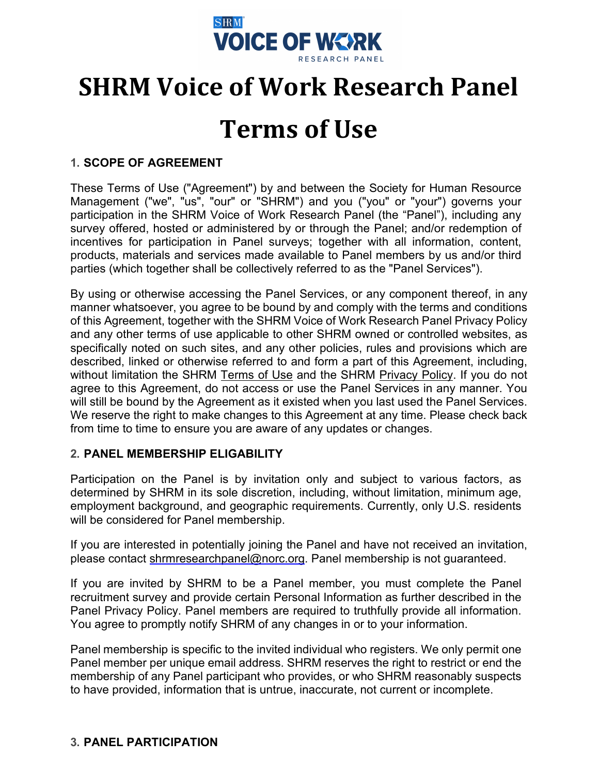

# **SHRM Voice of Work Research Panel**

# **Terms of Use**

# **1. SCOPE OF AGREEMENT**

These Terms of Use ("Agreement") by and between the Society for Human Resource Management ("we", "us", "our" or "SHRM") and you ("you" or "your") governs your participation in the SHRM Voice of Work Research Panel (the "Panel"), including any survey offered, hosted or administered by or through the Panel; and/or redemption of incentives for participation in Panel surveys; together with all information, content, products, materials and services made available to Panel members by us and/or third parties (which together shall be collectively referred to as the "Panel Services").

By using or otherwise accessing the Panel Services, or any component thereof, in any manner whatsoever, you agree to be bound by and comply with the terms and conditions of this Agreement, together with the SHRM Voice of Work Research Panel Privacy Policy and any other terms of use applicable to other SHRM owned or controlled websites, as specifically noted on such sites, and any other policies, rules and provisions which are described, linked or otherwise referred to and form a part of this Agreement, including, without limitation the SHRM [Terms of Use](https://www.shrm.org/about-shrm/Pages/Terms-of-Use.aspx) and the SHRM [Privacy Policy.](https://www.shrm.org/about-shrm/Pages/Privacy-Policy.aspx) If you do not agree to this Agreement, do not access or use the Panel Services in any manner. You will still be bound by the Agreement as it existed when you last used the Panel Services. We reserve the right to make changes to this Agreement at any time. Please check back from time to time to ensure you are aware of any updates or changes.

### **2. PANEL MEMBERSHIP ELIGABILITY**

Participation on the Panel is by invitation only and subject to various factors, as determined by SHRM in its sole discretion, including, without limitation, minimum age, employment background, and geographic requirements. Currently, only U.S. residents will be considered for Panel membership.

If you are interested in potentially joining the Panel and have not received an invitation, please contact [shrmresearchpanel@norc.org.](mailto:shrmresearchpanel@norc.org) Panel membership is not guaranteed.

If you are invited by SHRM to be a Panel member, you must complete the Panel recruitment survey and provide certain Personal Information as further described in the Panel Privacy Policy. Panel members are required to truthfully provide all information. You agree to promptly notify SHRM of any changes in or to your information.

Panel membership is specific to the invited individual who registers. We only permit one Panel member per unique email address. SHRM reserves the right to restrict or end the membership of any Panel participant who provides, or who SHRM reasonably suspects to have provided, information that is untrue, inaccurate, not current or incomplete.

## **3. PANEL PARTICIPATION**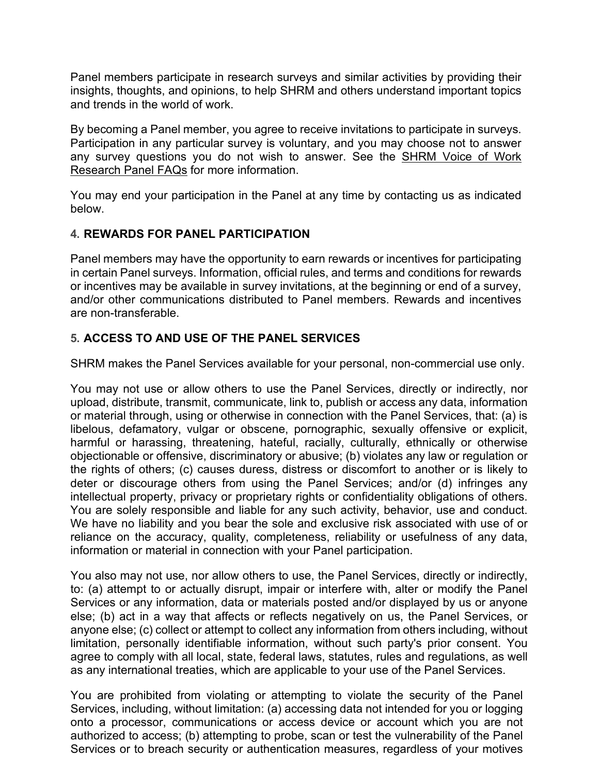Panel members participate in research surveys and similar activities by providing their insights, thoughts, and opinions, to help SHRM and others understand important topics and trends in the world of work.

By becoming a Panel member, you agree to receive invitations to participate in surveys. Participation in any particular survey is voluntary, and you may choose not to answer any survey questions you do not wish to answer. See the [SHRM Voice of Work](https://www.shrm.org/hr-today/trends-and-forecasting/research-and-surveys/pages/shrm%20research%20panel.aspx)  [Research Panel](https://www.shrm.org/hr-today/trends-and-forecasting/research-and-surveys/pages/shrm%20research%20panel.aspx) FAQs for more information.

You may end your participation in the Panel at any time by contacting us as indicated below.

## **4. REWARDS FOR PANEL PARTICIPATION**

Panel members may have the opportunity to earn rewards or incentives for participating in certain Panel surveys. Information, official rules, and terms and conditions for rewards or incentives may be available in survey invitations, at the beginning or end of a survey, and/or other communications distributed to Panel members. Rewards and incentives are non-transferable.

## **5. ACCESS TO AND USE OF THE PANEL SERVICES**

SHRM makes the Panel Services available for your personal, non-commercial use only.

You may not use or allow others to use the Panel Services, directly or indirectly, nor upload, distribute, transmit, communicate, link to, publish or access any data, information or material through, using or otherwise in connection with the Panel Services, that: (a) is libelous, defamatory, vulgar or obscene, pornographic, sexually offensive or explicit, harmful or harassing, threatening, hateful, racially, culturally, ethnically or otherwise objectionable or offensive, discriminatory or abusive; (b) violates any law or regulation or the rights of others; (c) causes duress, distress or discomfort to another or is likely to deter or discourage others from using the Panel Services; and/or (d) infringes any intellectual property, privacy or proprietary rights or confidentiality obligations of others. You are solely responsible and liable for any such activity, behavior, use and conduct. We have no liability and you bear the sole and exclusive risk associated with use of or reliance on the accuracy, quality, completeness, reliability or usefulness of any data, information or material in connection with your Panel participation.

You also may not use, nor allow others to use, the Panel Services, directly or indirectly, to: (a) attempt to or actually disrupt, impair or interfere with, alter or modify the Panel Services or any information, data or materials posted and/or displayed by us or anyone else; (b) act in a way that affects or reflects negatively on us, the Panel Services, or anyone else; (c) collect or attempt to collect any information from others including, without limitation, personally identifiable information, without such party's prior consent. You agree to comply with all local, state, federal laws, statutes, rules and regulations, as well as any international treaties, which are applicable to your use of the Panel Services.

You are prohibited from violating or attempting to violate the security of the Panel Services, including, without limitation: (a) accessing data not intended for you or logging onto a processor, communications or access device or account which you are not authorized to access; (b) attempting to probe, scan or test the vulnerability of the Panel Services or to breach security or authentication measures, regardless of your motives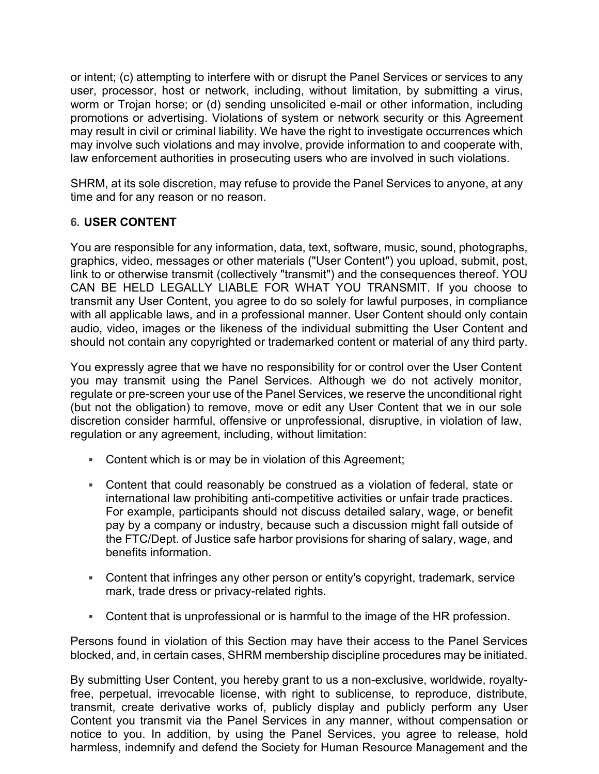or intent; (c) attempting to interfere with or disrupt the Panel Services or services to any user, processor, host or network, including, without limitation, by submitting a virus, worm or Trojan horse; or (d) sending unsolicited e-mail or other information, including promotions or advertising. Violations of system or network security or this Agreement may result in civil or criminal liability. We have the right to investigate occurrences which may involve such violations and may involve, provide information to and cooperate with, law enforcement authorities in prosecuting users who are involved in such violations.

SHRM, at its sole discretion, may refuse to provide the Panel Services to anyone, at any time and for any reason or no reason.

## **6. USER CONTENT**

You are responsible for any information, data, text, software, music, sound, photographs, graphics, video, messages or other materials ("User Content") you upload, submit, post, link to or otherwise transmit (collectively "transmit") and the consequences thereof. YOU CAN BE HELD LEGALLY LIABLE FOR WHAT YOU TRANSMIT. If you choose to transmit any User Content, you agree to do so solely for lawful purposes, in compliance with all applicable laws, and in a professional manner. User Content should only contain audio, video, images or the likeness of the individual submitting the User Content and should not contain any copyrighted or trademarked content or material of any third party.

You expressly agree that we have no responsibility for or control over the User Content you may transmit using the Panel Services. Although we do not actively monitor, regulate or pre-screen your use of the Panel Services, we reserve the unconditional right (but not the obligation) to remove, move or edit any User Content that we in our sole discretion consider harmful, offensive or unprofessional, disruptive, in violation of law, regulation or any agreement, including, without limitation:

- Content which is or may be in violation of this Agreement;
- Content that could reasonably be construed as a violation of federal, state or international law prohibiting anti-competitive activities or unfair trade practices. For example, participants should not discuss detailed salary, wage, or benefit pay by a company or industry, because such a discussion might fall outside of the FTC/Dept. of Justice safe harbor provisions for sharing of salary, wage, and benefits information.
- Content that infringes any other person or entity's copyright, trademark, service mark, trade dress or privacy-related rights.
- Content that is unprofessional or is harmful to the image of the HR profession.

Persons found in violation of this Section may have their access to the Panel Services blocked, and, in certain cases, SHRM membership discipline procedures may be initiated.

By submitting User Content, you hereby grant to us a non-exclusive, worldwide, royaltyfree, perpetual, irrevocable license, with right to sublicense, to reproduce, distribute, transmit, create derivative works of, publicly display and publicly perform any User Content you transmit via the Panel Services in any manner, without compensation or notice to you. In addition, by using the Panel Services, you agree to release, hold harmless, indemnify and defend the Society for Human Resource Management and the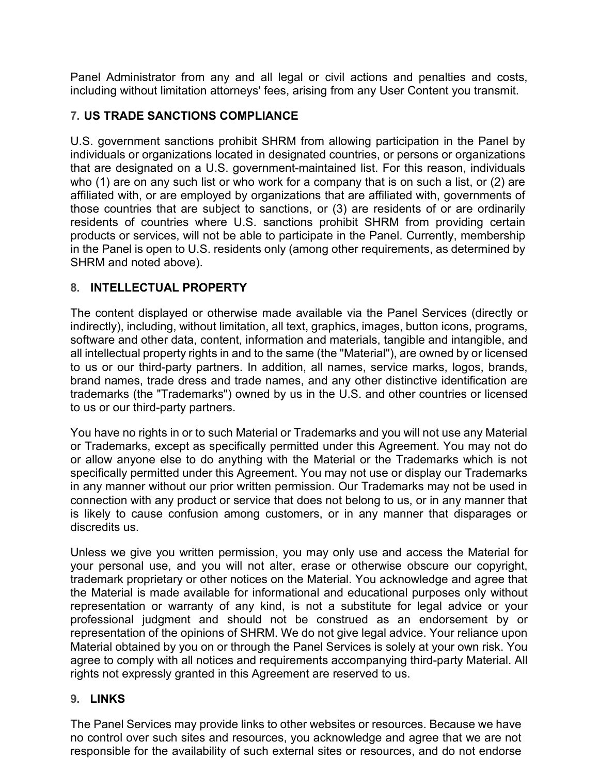Panel Administrator from any and all legal or civil actions and penalties and costs, including without limitation attorneys' fees, arising from any User Content you transmit.

# **7. US TRADE SANCTIONS COMPLIANCE**

U.S. government sanctions prohibit SHRM from allowing participation in the Panel by individuals or organizations located in designated countries, or persons or organizations that are designated on a U.S. government-maintained list. For this reason, individuals who (1) are on any such list or who work for a company that is on such a list, or (2) are affiliated with, or are employed by organizations that are affiliated with, governments of those countries that are subject to sanctions, or (3) are residents of or are ordinarily residents of countries where U.S. sanctions prohibit SHRM from providing certain products or services, will not be able to participate in the Panel. Currently, membership in the Panel is open to U.S. residents only (among other requirements, as determined by SHRM and noted above).

# **8. INTELLECTUAL PROPERTY**

The content displayed or otherwise made available via the Panel Services (directly or indirectly), including, without limitation, all text, graphics, images, button icons, programs, software and other data, content, information and materials, tangible and intangible, and all intellectual property rights in and to the same (the "Material"), are owned by or licensed to us or our third-party partners. In addition, all names, service marks, logos, brands, brand names, trade dress and trade names, and any other distinctive identification are trademarks (the "Trademarks") owned by us in the U.S. and other countries or licensed to us or our third-party partners.

You have no rights in or to such Material or Trademarks and you will not use any Material or Trademarks, except as specifically permitted under this Agreement. You may not do or allow anyone else to do anything with the Material or the Trademarks which is not specifically permitted under this Agreement. You may not use or display our Trademarks in any manner without our prior written permission. Our Trademarks may not be used in connection with any product or service that does not belong to us, or in any manner that is likely to cause confusion among customers, or in any manner that disparages or discredits us.

Unless we give you written permission, you may only use and access the Material for your personal use, and you will not alter, erase or otherwise obscure our copyright, trademark proprietary or other notices on the Material. You acknowledge and agree that the Material is made available for informational and educational purposes only without representation or warranty of any kind, is not a substitute for legal advice or your professional judgment and should not be construed as an endorsement by or representation of the opinions of SHRM. We do not give legal advice. Your reliance upon Material obtained by you on or through the Panel Services is solely at your own risk. You agree to comply with all notices and requirements accompanying third-party Material. All rights not expressly granted in this Agreement are reserved to us.

## **9. LINKS**

The Panel Services may provide links to other websites or resources. Because we have no control over such sites and resources, you acknowledge and agree that we are not responsible for the availability of such external sites or resources, and do not endorse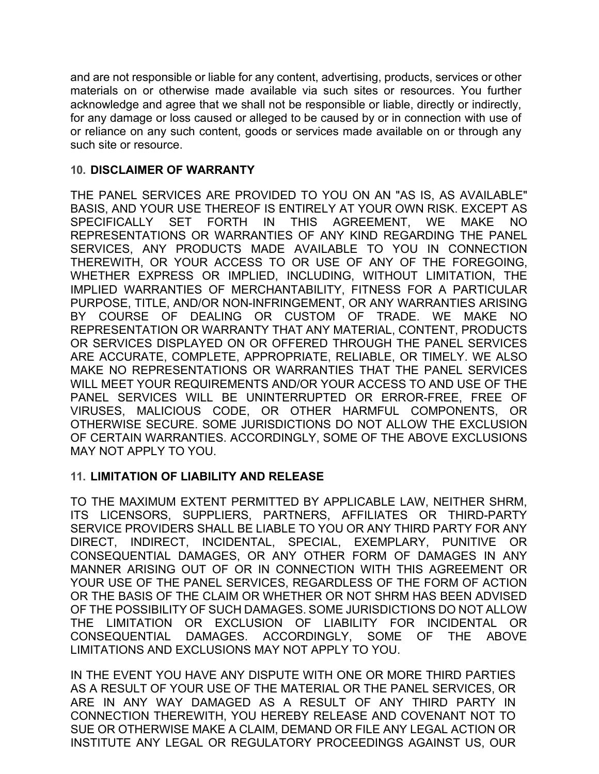and are not responsible or liable for any content, advertising, products, services or other materials on or otherwise made available via such sites or resources. You further acknowledge and agree that we shall not be responsible or liable, directly or indirectly, for any damage or loss caused or alleged to be caused by or in connection with use of or reliance on any such content, goods or services made available on or through any such site or resource.

### **10. DISCLAIMER OF WARRANTY**

THE PANEL SERVICES ARE PROVIDED TO YOU ON AN "AS IS, AS AVAILABLE" BASIS, AND YOUR USE THEREOF IS ENTIRELY AT YOUR OWN RISK. EXCEPT AS SPECIFICALLY SET FORTH IN THIS AGREEMENT, WE MAKE NO REPRESENTATIONS OR WARRANTIES OF ANY KIND REGARDING THE PANEL SERVICES, ANY PRODUCTS MADE AVAILABLE TO YOU IN CONNECTION THEREWITH, OR YOUR ACCESS TO OR USE OF ANY OF THE FOREGOING, WHETHER EXPRESS OR IMPLIED, INCLUDING, WITHOUT LIMITATION, THE IMPLIED WARRANTIES OF MERCHANTABILITY, FITNESS FOR A PARTICULAR PURPOSE, TITLE, AND/OR NON-INFRINGEMENT, OR ANY WARRANTIES ARISING BY COURSE OF DEALING OR CUSTOM OF TRADE. WE MAKE NO REPRESENTATION OR WARRANTY THAT ANY MATERIAL, CONTENT, PRODUCTS OR SERVICES DISPLAYED ON OR OFFERED THROUGH THE PANEL SERVICES ARE ACCURATE, COMPLETE, APPROPRIATE, RELIABLE, OR TIMELY. WE ALSO MAKE NO REPRESENTATIONS OR WARRANTIES THAT THE PANEL SERVICES WILL MEET YOUR REQUIREMENTS AND/OR YOUR ACCESS TO AND USE OF THE PANEL SERVICES WILL BE UNINTERRUPTED OR ERROR-FREE, FREE OF VIRUSES, MALICIOUS CODE, OR OTHER HARMFUL COMPONENTS, OR OTHERWISE SECURE. SOME JURISDICTIONS DO NOT ALLOW THE EXCLUSION OF CERTAIN WARRANTIES. ACCORDINGLY, SOME OF THE ABOVE EXCLUSIONS MAY NOT APPLY TO YOU.

### **11. LIMITATION OF LIABILITY AND RELEASE**

TO THE MAXIMUM EXTENT PERMITTED BY APPLICABLE LAW, NEITHER SHRM, ITS LICENSORS, SUPPLIERS, PARTNERS, AFFILIATES OR THIRD-PARTY SERVICE PROVIDERS SHALL BE LIABLE TO YOU OR ANY THIRD PARTY FOR ANY DIRECT, INDIRECT, INCIDENTAL, SPECIAL, EXEMPLARY, PUNITIVE OR CONSEQUENTIAL DAMAGES, OR ANY OTHER FORM OF DAMAGES IN ANY MANNER ARISING OUT OF OR IN CONNECTION WITH THIS AGREEMENT OR YOUR USE OF THE PANEL SERVICES, REGARDLESS OF THE FORM OF ACTION OR THE BASIS OF THE CLAIM OR WHETHER OR NOT SHRM HAS BEEN ADVISED OF THE POSSIBILITY OF SUCH DAMAGES. SOME JURISDICTIONS DO NOT ALLOW THE LIMITATION OR EXCLUSION OF LIABILITY FOR INCIDENTAL OR CONSEQUENTIAL DAMAGES. ACCORDINGLY, SOME OF THE ABOVE LIMITATIONS AND EXCLUSIONS MAY NOT APPLY TO YOU.

IN THE EVENT YOU HAVE ANY DISPUTE WITH ONE OR MORE THIRD PARTIES AS A RESULT OF YOUR USE OF THE MATERIAL OR THE PANEL SERVICES, OR ARE IN ANY WAY DAMAGED AS A RESULT OF ANY THIRD PARTY IN CONNECTION THEREWITH, YOU HEREBY RELEASE AND COVENANT NOT TO SUE OR OTHERWISE MAKE A CLAIM, DEMAND OR FILE ANY LEGAL ACTION OR INSTITUTE ANY LEGAL OR REGULATORY PROCEEDINGS AGAINST US, OUR